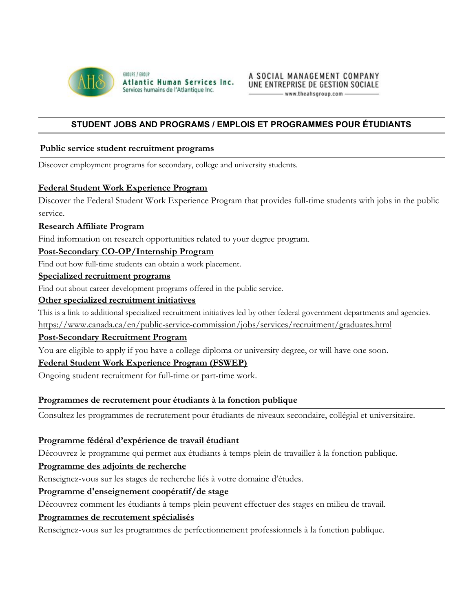

GROUPE / GROUP Atlantic Human Services Inc. Services humains de l'Atlantique Inc.

## **STUDENT JOBS AND PROGRAMS / EMPLOIS ET PROGRAMMES POUR ÉTUDIANTS**

### **Public service student recruitment programs**

Discover employment programs for secondary, college and university students.

### **[Federal Student Work Experience Program](https://www.canada.ca/en/public-service-commission/jobs/services/recruitment/students/federal-student-work-program.html)**

Discover the Federal Student Work Experience Program that provides full-time students with jobs in the public service.

### **[Research Affiliate Program](https://www.canada.ca/en/public-service-commission/jobs/services/recruitment/students/research-affiliate-program.html)**

Find information on research opportunities related to your degree program.

### **[Post-Secondary CO-OP/Internship Program](https://www.canada.ca/en/public-service-commission/jobs/services/recruitment/students/coop-internship.html)**

Find out how full-time students can obtain a work placement.

### **[Specialized recruitment programs](https://www.canada.ca/en/public-service-commission/jobs/services/recruitment/specialized-recruitment-programs.html)**

Find out about career development programs offered in the public service.

### **[Other specialized recruitment initiatives](https://www.canada.ca/en/public-service-commission/jobs/services/recruitment/specialized-recruitment-programs.html)**

This is a link to additional specialized recruitment initiatives led by other federal government departments and agencies. <https://www.canada.ca/en/public-service-commission/jobs/services/recruitment/graduates.html>

### **[Post-Secondary Recruitment Program](https://www.canada.ca/en/public-service-commission/jobs/services/recruitment/graduates/post-secondary-recruitment.html)**

You are eligible to apply if you have a college diploma or university degree, or will have one soon.

### **[Federal Student Work Experience Program \(FSWEP\)](https://www.canada.ca/en/public-service-commission/jobs/services/recruitment/students/federal-student-work-program.html)**

Ongoing student recruitment for full-time or part-time work.

### **Programmes de recrutement pour étudiants à la fonction publique**

Consultez les programmes de recrutement pour étudiants de niveaux secondaire, collégial et universitaire.

### **[Programme fédéral d'expérience de travail étudiant](https://www.canada.ca/fr/commission-fonction-publique/emplois/services/recrutement/etudiants/programme-federal-experience-travail-etudiant.html)**

Découvrez le programme qui permet aux étudiants à temps plein de travailler à la fonction publique.

### **[Programme des adjoints de recherche](https://www.canada.ca/fr/commission-fonction-publique/emplois/services/recrutement/etudiants/programme-adjoints-recherche.html)**

Renseignez-vous sur les stages de recherche liés à votre domaine d'études.

### **[Programme d'enseignement coopératif/de stage](https://www.canada.ca/fr/commission-fonction-publique/emplois/services/recrutement/etudiants/coop.html)**

Découvrez comment les étudiants à temps plein peuvent effectuer des stages en milieu de travail.

### **[Programmes de recrutement spécialisés](https://www.canada.ca/fr/commission-fonction-publique/emplois/services/recrutement/programmes-recrutement-specialises.html)**

Renseignez-vous sur les programmes de perfectionnement professionnels à la fonction publique.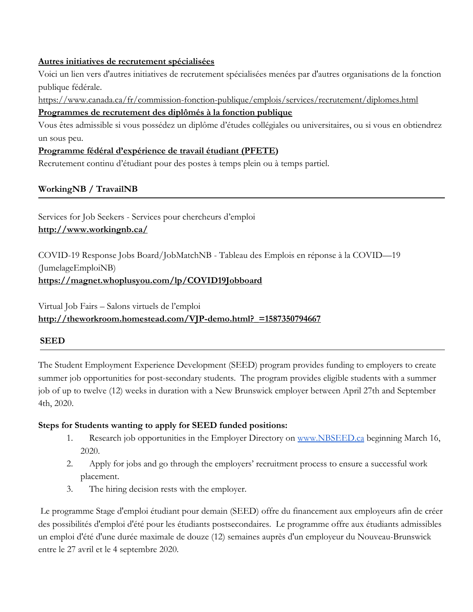## **[Autres initiatives de recrutement spécialisées](https://www.canada.ca/fr/commission-fonction-publique/emplois/services/recrutement/programmes-recrutement-specialises.html)**

Voici un lien vers d'autres initiatives de recrutement spécialisées menées par d'autres organisations de la fonction publique fédérale.

<https://www.canada.ca/fr/commission-fonction-publique/emplois/services/recrutement/diplomes.html>

## **[Programmes de recrutement des diplômés à la fonction publique](https://www.canada.ca/fr/commission-fonction-publique/emplois/services/recrutement/diplomes.html)**

Vous êtes admissible si vous possédez un diplôme d'études collégiales ou universitaires, ou si vous en obtiendrez un sous peu.

## **[Programme fédéral d'expérience de travail étudiant \(PFETE](https://www.canada.ca/fr/commission-fonction-publique/emplois/services/recrutement/etudiants/programme-federal-experience-travail-etudiant.html))**

Recrutement continu d'étudiant pour des postes à temps plein ou à temps partiel.

## **WorkingNB / TravailNB**

Services for Job Seekers - Services pour chercheurs d'emploi **<http://www.workingnb.ca/>**

COVID-19 Response Jobs Board/JobMatchNB - Tableau des Emplois en réponse à la COVID—19 (JumelageEmploiNB) **<https://magnet.whoplusyou.com/lp/COVID19Jobboard>**

## Virtual Job Fairs – Salons virtuels de l'emploi **[http://theworkroom.homestead.com/VJP-demo.html?\\_=1587350794667](http://theworkroom.homestead.com/VJP-demo.html?_=1587350794667)**

## **SEED**

The Student Employment Experience Development (SEED) program provides funding to employers to create summer job opportunities for post-secondary students. The program provides eligible students with a summer job of up to twelve (12) weeks in duration with a New Brunswick employer between April 27th and September 4th, 2020.

## **Steps for Students wanting to apply for SEED funded positions:**

- 1. Research job opportunities in the Employer Directory on [www.NBSEED.ca](http://www.nbseed.ca/) beginning March 16, 2020.
- 2. Apply for jobs and go through the employers' recruitment process to ensure a successful work placement.
- 3. The hiring decision rests with the employer.

 Le programme Stage d'emploi étudiant pour demain (SEED) offre du financement aux employeurs afin de créer des possibilités d'emploi d'été pour les étudiants postsecondaires. Le programme offre aux étudiants admissibles un emploi d'été d'une durée maximale de douze (12) semaines auprès d'un employeur du Nouveau-Brunswick entre le 27 avril et le 4 septembre 2020.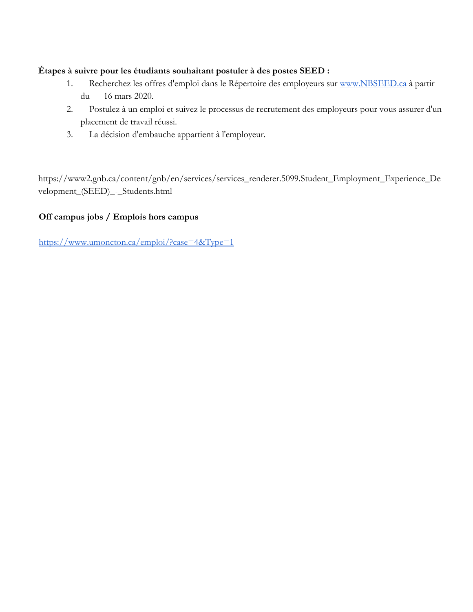## **Étapes à suivre pour les étudiants souhaitant postuler à des postes SEED :**

- 1. Recherchez les offres d'emploi dans le Répertoire des employeurs sur [www.NBSEED.ca](http://www.nbseed.ca/) à partir du 16 mars 2020.
- 2. Postulez à un emploi et suivez le processus de recrutement des employeurs pour vous assurer d'un placement de travail réussi.
- 3. La décision d'embauche appartient à l'employeur.

[https://www2.gnb.ca/content/gnb/en/services/services\\_renderer.5099.Student\\_Employment\\_Experience\\_De](https://www2.gnb.ca/content/gnb/en/services/services_renderer.5099.Student_Employment_Experience_Development_(SEED)_-_Students.html) [velopment\\_\(SEED\)\\_-\\_Students.html](https://www2.gnb.ca/content/gnb/en/services/services_renderer.5099.Student_Employment_Experience_Development_(SEED)_-_Students.html)

## **Off campus jobs / Emplois hors campus**

<https://www.umoncton.ca/emploi/?case=4&Type=1>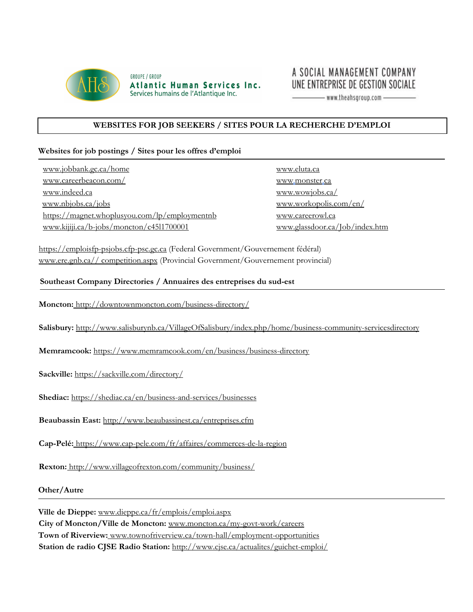

**GROUPE / GROUP** Atlantic Human Services Inc. Services humains de l'Atlantique Inc.

## A SOCIAL MANAGEMENT COMPANY UNE ENTREPRISE DE GESTION SOCIALE

 $-$  www.theahsgroup.com  $-$ 

### **WEBSITES FOR JOB SEEKERS / SITES POUR LA RECHERCHE D'EMPLOI**

#### **Websites for job postings / Sites pour les offres d'emploi**

[www.jobbank.gc.ca/home](http://www.jobbank.gc.ca/home) [www.careerbeacon.com/](http://www.careerbeacon.com/) [www.indeed.ca](http://www.indeed.ca/) [www.nbjobs.ca/jobs](http://www.nbjobs.ca/jobs) <https://magnet.whoplusyou.com/lp/employmentnb> [www.kijiji.ca/b-jobs/moncton/c45l1700001](http://www.kijiji.ca/b-jobs/moncton/c45l1700001)

[www.eluta.ca](http://www.eluta.ca/) [www.monster.ca](http://www.monster.ca/) [www.wowjobs.ca/](http://www.wowjobs.ca/) [www.workopolis.com/en/](https://www.workopolis.com/en/) [www.careerowl.ca](http://www.careerowl.ca/) [www.glassdoor.ca/Job/index.htm](http://www.glassdoor.ca/Job/index.htm)

[https://emploisfp-psjobs.cfp-psc.gc.ca](https://emploisfp-psjobs.cfp-psc.gc.ca/psrs-srfp/applicant/page2440?toggleLanguage=en) (Federal Government/Gouvernement fédéral) [www.ere.gnb.ca//](http://www.ere.gnb.ca/) competition.aspx (Provincial Government/Gouvernement provincial)

#### **Southeast Company Directories / Annuaires des entreprises du sud-est**

**Moncton:** <http://downtownmoncton.com/business-directory/>

**Salisbury:** <http://www.salisburynb.ca/VillageOfSalisbury/index.php/home/business>[-community-servicesdirectory](http://www.salisburynb.ca/VillageOfSalisbury/index.php/home/business-community-services-directory)

**Memramcook[:](https://www.memramcook.com/en/business/business-directory)** <https://www.memramcook.com/en/business/business-directory>

**Sackville:** <https://sackville.com/directory/>

**Shediac[:](https://shediac.ca/en/business-and-services/businesses)** <https://shediac.ca/en/business-and-services/businesses>

**Beaubassin East:** <http://www.beaubassinest.ca/entreprises.cfm>

**Cap-Pelé:** <https://www.cap-pele.com/fr/affaires/commerces-de-la-region>

**Rexton:** <http://www.villageofrexton.com/community/business/>

**Other/Autre**

**Ville de Dieppe:** [www.dieppe.ca/fr/emplois/emploi.aspx](http://www.dieppe.ca/fr/emplois/emploi.aspx) **City of Moncton/Ville de Moncton[:](http://www.moncton.ca/my-govt-work/careers)** [www.moncton.ca/my-govt-work/careers](http://www.moncton.ca/my-govt-work/careers) **Town of Riverview:** [www.townofriverview.ca/town-hall/employment-opportunities](http://www.townofriverview.ca/town-hall/employment-opportunities) **Station de radio CJSE Radio Station:** <http://www.cjse.ca/actualites/guichet-emploi/>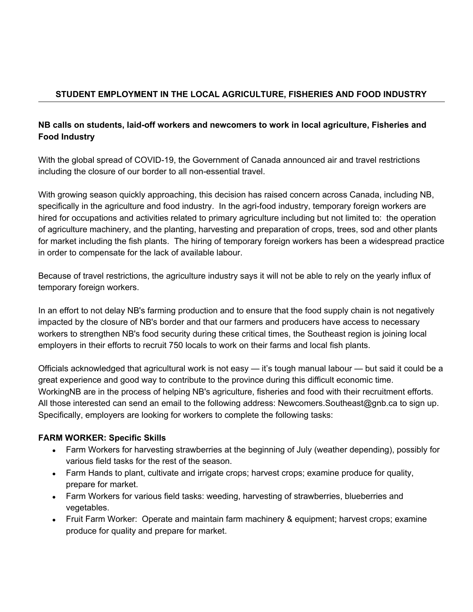## **STUDENT EMPLOYMENT IN THE LOCAL AGRICULTURE, FISHERIES AND FOOD INDUSTRY**

## **NB calls on students, laid-off workers and newcomers to work in local agriculture, Fisheries and Food Industry**

With the global spread of COVID-19, the Government of Canada announced air and travel restrictions including the closure of our border to all non-essential travel.

With growing season quickly approaching, this decision has raised concern across Canada, including NB, specifically in the agriculture and food industry. In the agri-food industry, temporary foreign workers are hired for occupations and activities related to primary agriculture including but not limited to: the operation of agriculture machinery, and the planting, harvesting and preparation of crops, trees, sod and other plants for market including the fish plants. The hiring of temporary foreign workers has been a widespread practice in order to compensate for the lack of available labour.

Because of travel restrictions, the agriculture industry says it will not be able to rely on the yearly influx of temporary foreign workers.

In an effort to not delay NB's farming production and to ensure that the food supply chain is not negatively impacted by the closure of NB's border and that our farmers and producers have access to necessary workers to strengthen NB's food security during these critical times, the Southeast region is joining local employers in their efforts to recruit 750 locals to work on their farms and local fish plants.

Officials acknowledged that agricultural work is not easy — it's tough manual labour — but said it could be a great experience and good way to contribute to the province during this difficult economic time. WorkingNB are in the process of helping NB's agriculture, fisheries and food with their recruitment efforts. All those interested can send an email to the following address: Newcomers.Southeast@gnb.ca to sign up. Specifically, employers are looking for workers to complete the following tasks:

## **FARM WORKER: Specific Skills**

- Farm Workers for harvesting strawberries at the beginning of July (weather depending), possibly for various field tasks for the rest of the season.
- Farm Hands to plant, cultivate and irrigate crops; harvest crops; examine produce for quality, prepare for market.
- Farm Workers for various field tasks: weeding, harvesting of strawberries, blueberries and vegetables.
- Fruit Farm Worker: Operate and maintain farm machinery & equipment; harvest crops; examine produce for quality and prepare for market.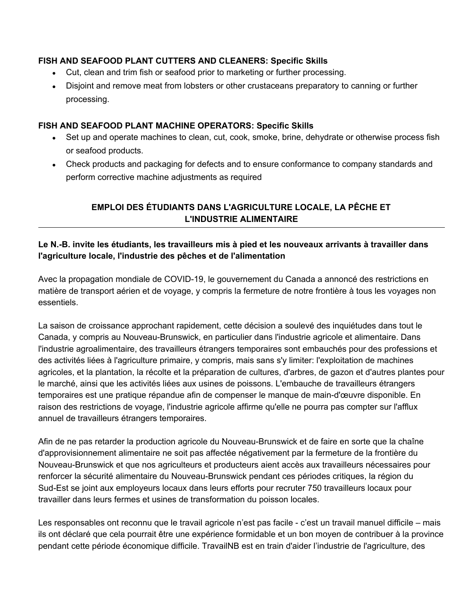## **FISH AND SEAFOOD PLANT CUTTERS AND CLEANERS: Specific Skills**

- Cut, clean and trim fish or seafood prior to marketing or further processing.
- Disjoint and remove meat from lobsters or other crustaceans preparatory to canning or further processing.

## **FISH AND SEAFOOD PLANT MACHINE OPERATORS: Specific Skills**

- Set up and operate machines to clean, cut, cook, smoke, brine, dehydrate or otherwise process fish or seafood products.
- Check products and packaging for defects and to ensure conformance to company standards and perform corrective machine adjustments as required

## **EMPLOI DES ÉTUDIANTS DANS L'AGRICULTURE LOCALE, LA PÊCHE ET L'INDUSTRIE ALIMENTAIRE**

## **Le N.-B. invite les étudiants, les travailleurs mis à pied et les nouveaux arrivants à travailler dans l'agriculture locale, l'industrie des pêches et de l'alimentation**

Avec la propagation mondiale de COVID-19, le gouvernement du Canada a annoncé des restrictions en matière de transport aérien et de voyage, y compris la fermeture de notre frontière à tous les voyages non essentiels.

La saison de croissance approchant rapidement, cette décision a soulevé des inquiétudes dans tout le Canada, y compris au Nouveau-Brunswick, en particulier dans l'industrie agricole et alimentaire. Dans l'industrie agroalimentaire, des travailleurs étrangers temporaires sont embauchés pour des professions et des activités liées à l'agriculture primaire, y compris, mais sans s'y limiter: l'exploitation de machines agricoles, et la plantation, la récolte et la préparation de cultures, d'arbres, de gazon et d'autres plantes pour le marché, ainsi que les activités liées aux usines de poissons. L'embauche de travailleurs étrangers temporaires est une pratique répandue afin de compenser le manque de main-d'œuvre disponible. En raison des restrictions de voyage, l'industrie agricole affirme qu'elle ne pourra pas compter sur l'afflux annuel de travailleurs étrangers temporaires.

Afin de ne pas retarder la production agricole du Nouveau-Brunswick et de faire en sorte que la chaîne d'approvisionnement alimentaire ne soit pas affectée négativement par la fermeture de la frontière du Nouveau-Brunswick et que nos agriculteurs et producteurs aient accès aux travailleurs nécessaires pour renforcer la sécurité alimentaire du Nouveau-Brunswick pendant ces périodes critiques, la région du Sud-Est se joint aux employeurs locaux dans leurs efforts pour recruter 750 travailleurs locaux pour travailler dans leurs fermes et usines de transformation du poisson locales.

Les responsables ont reconnu que le travail agricole n'est pas facile - c'est un travail manuel difficile – mais ils ont déclaré que cela pourrait être une expérience formidable et un bon moyen de contribuer à la province pendant cette période économique difficile. TravailNB est en train d'aider l'industrie de l'agriculture, des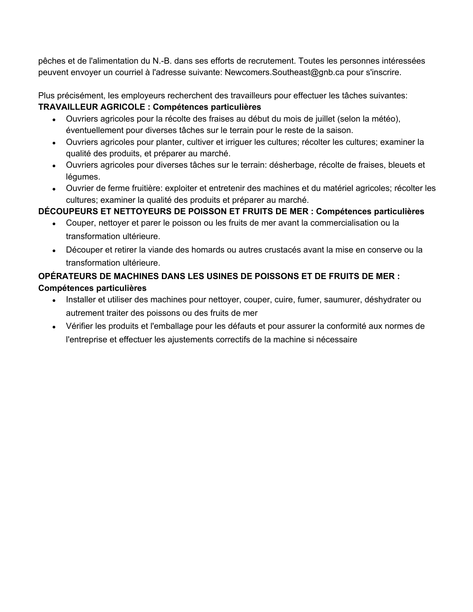pêches et de l'alimentation du N.-B. dans ses efforts de recrutement. Toutes les personnes intéressées peuvent envoyer un courriel à l'adresse suivante: Newcomers.Southeast@gnb.ca pour s'inscrire.

Plus précisément, les employeurs recherchent des travailleurs pour effectuer les tâches suivantes: **TRAVAILLEUR AGRICOLE : Compétences particulières**

- Ouvriers agricoles pour la récolte des fraises au début du mois de juillet (selon la météo), éventuellement pour diverses tâches sur le terrain pour le reste de la saison.
- Ouvriers agricoles pour planter, cultiver et irriguer les cultures; récolter les cultures; examiner la qualité des produits, et préparer au marché.
- Ouvriers agricoles pour diverses tâches sur le terrain: désherbage, récolte de fraises, bleuets et légumes.
- Ouvrier de ferme fruitière: exploiter et entretenir des machines et du matériel agricoles; récolter les cultures; examiner la qualité des produits et préparer au marché.

## **DÉCOUPEURS ET NETTOYEURS DE POISSON ET FRUITS DE MER : Compétences particulières**

- Couper, nettoyer et parer le poisson ou les fruits de mer avant la commercialisation ou la transformation ultérieure.
- Découper et retirer la viande des homards ou autres crustacés avant la mise en conserve ou la transformation ultérieure.

## **OPÉRATEURS DE MACHINES DANS LES USINES DE POISSONS ET DE FRUITS DE MER : Compétences particulières**

- Installer et utiliser des machines pour nettoyer, couper, cuire, fumer, saumurer, déshydrater ou autrement traiter des poissons ou des fruits de mer
- Vérifier les produits et l'emballage pour les défauts et pour assurer la conformité aux normes de l'entreprise et effectuer les ajustements correctifs de la machine si nécessaire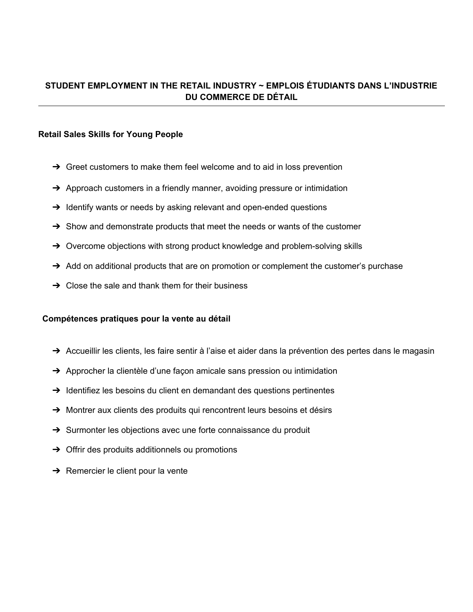## **STUDENT EMPLOYMENT IN THE RETAIL INDUSTRY ~ EMPLOIS ÉTUDIANTS DANS L'INDUSTRIE DU COMMERCE DE DÉTAIL**

### **Retail Sales Skills for Young People**

- $\rightarrow$  Greet customers to make them feel welcome and to aid in loss prevention
- $\rightarrow$  Approach customers in a friendly manner, avoiding pressure or intimidation
- $\rightarrow$  Identify wants or needs by asking relevant and open-ended questions
- $\rightarrow$  Show and demonstrate products that meet the needs or wants of the customer
- → Overcome objections with strong product knowledge and problem-solving skills
- $\rightarrow$  Add on additional products that are on promotion or complement the customer's purchase
- $\rightarrow$  Close the sale and thank them for their business

### **Compétences pratiques pour la vente au détail**

- → Accueillir les clients, les faire sentir à l'aise et aider dans la prévention des pertes dans le magasin
- → Approcher la clientèle d'une façon amicale sans pression ou intimidation
- ➔ Identifiez les besoins du client en demandant des questions pertinentes
- ➔ Montrer aux clients des produits qui rencontrent leurs besoins et désirs
- → Surmonter les objections avec une forte connaissance du produit
- $\rightarrow$  Offrir des produits additionnels ou promotions
- $\rightarrow$  Remercier le client pour la vente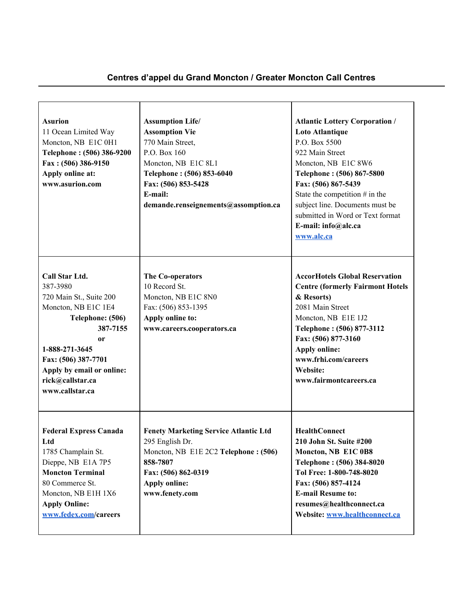## **Centres d'appel du Grand Moncton / Greater Moncton Call Centres**

 $\overline{\phantom{0}}$ 

<u> 1989 - Johann John Stone, mars et al. 1989 - John Stone, mars et al. 1989 - John Stone, mars et al. 1989 - Joh</u>

| <b>Asurion</b><br>11 Ocean Limited Way<br>Moncton, NB E1C 0H1<br>Telephone: (506) 386-9200<br>Fax: (506) 386-9150<br>Apply online at:<br>www.asurion.com                                                                               | <b>Assumption Life/</b><br><b>Assomption Vie</b><br>770 Main Street,<br>P.O. Box 160<br>Moncton, NB E1C 8L1<br>Telephone: (506) 853-6040<br>Fax: (506) 853-5428<br>E-mail:<br>demande.renseignements@assomption.ca | <b>Atlantic Lottery Corporation /</b><br>Loto Atlantique<br>P.O. Box 5500<br>922 Main Street<br>Moncton, NB E1C 8W6<br>Telephone: (506) 867-5800<br>Fax: (506) 867-5439<br>State the competition $#$ in the<br>subject line. Documents must be<br>submitted in Word or Text format<br>E-mail: info@alc.ca<br>www.alc.ca |
|----------------------------------------------------------------------------------------------------------------------------------------------------------------------------------------------------------------------------------------|--------------------------------------------------------------------------------------------------------------------------------------------------------------------------------------------------------------------|-------------------------------------------------------------------------------------------------------------------------------------------------------------------------------------------------------------------------------------------------------------------------------------------------------------------------|
| Call Star Ltd.<br>387-3980<br>720 Main St., Suite 200<br>Moncton, NB E1C 1E4<br>Telephone: (506)<br>387-7155<br><b>or</b><br>1-888-271-3645<br>Fax: (506) 387-7701<br>Apply by email or online:<br>rick@callstar.ca<br>www.callstar.ca | The Co-operators<br>10 Record St.<br>Moncton, NB E1C 8N0<br>Fax: (506) 853-1395<br>Apply online to:<br>www.careers.cooperators.ca                                                                                  | <b>AccorHotels Global Reservation</b><br><b>Centre (formerly Fairmont Hotels)</b><br>& Resorts)<br>2081 Main Street<br>Moncton, NB E1E 1J2<br>Telephone: (506) 877-3112<br>Fax: (506) 877-3160<br><b>Apply online:</b><br>www.frhi.com/careers<br>Website:<br>www.fairmontcareers.ca                                    |
| <b>Federal Express Canada</b><br>Ltd<br>1785 Champlain St.<br>Dieppe, NB E1A 7P5<br><b>Moncton Terminal</b><br>80 Commerce St.<br>Moncton, NB E1H 1X6<br><b>Apply Online:</b><br>www.fedex.com/careers                                 | <b>Fenety Marketing Service Atlantic Ltd</b><br>295 English Dr.<br>Moncton, NB E1E 2C2 Telephone: (506)<br>858-7807<br>Fax: (506) 862-0319<br><b>Apply online:</b><br>www.fenety.com                               | <b>HealthConnect</b><br>210 John St. Suite #200<br>Moncton, NB E1C 0B8<br>Telephone: (506) 384-8020<br>Tol Free: 1-800-748-8020<br>Fax: (506) 857-4124<br><b>E-mail Resume to:</b><br>resumes@healthconnect.ca<br>Website: www.healthconnect.ca                                                                         |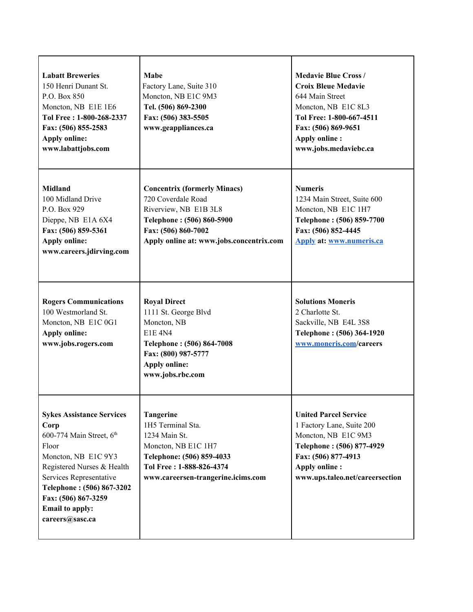| <b>Labatt Breweries</b><br>150 Henri Dunant St.<br>P.O. Box 850<br>Moncton, NB E1E 1E6<br>Tol Free: 1-800-268-2337<br>Fax: (506) 855-2583<br><b>Apply online:</b><br>www.labattjobs.com                                                                        | Mabe<br>Factory Lane, Suite 310<br>Moncton, NB E1C 9M3<br>Tel. (506) 869-2300<br>Fax: (506) 383-5505<br>www.geappliances.ca                                                        | <b>Medavie Blue Cross /</b><br><b>Croix Bleue Medavie</b><br>644 Main Street<br>Moncton, NB E1C 8L3<br>Tol Free: 1-800-667-4511<br>Fax: (506) 869-9651<br><b>Apply online:</b><br>www.jobs.medaviebc.ca |
|----------------------------------------------------------------------------------------------------------------------------------------------------------------------------------------------------------------------------------------------------------------|------------------------------------------------------------------------------------------------------------------------------------------------------------------------------------|---------------------------------------------------------------------------------------------------------------------------------------------------------------------------------------------------------|
| Midland<br>100 Midland Drive<br>P.O. Box 929<br>Dieppe, NB E1A 6X4<br>Fax: (506) 859-5361<br><b>Apply online:</b><br>www.careers.jdirving.com                                                                                                                  | <b>Concentrix (formerly Minacs)</b><br>720 Coverdale Road<br>Riverview, NB E1B 3L8<br>Telephone: (506) 860-5900<br>Fax: (506) 860-7002<br>Apply online at: www.jobs.concentrix.com | <b>Numeris</b><br>1234 Main Street, Suite 600<br>Moncton, NB E1C 1H7<br>Telephone: (506) 859-7700<br>Fax: (506) 852-4445<br><b>Apply at: www.numeris.ca</b>                                             |
| <b>Rogers Communications</b><br>100 Westmorland St.<br>Moncton, NB E1C 0G1<br><b>Apply online:</b><br>www.jobs.rogers.com                                                                                                                                      | <b>Royal Direct</b><br>1111 St. George Blvd<br>Moncton, NB<br><b>E1E 4N4</b><br>Telephone: (506) 864-7008<br>Fax: (800) 987-5777<br><b>Apply online:</b><br>www.jobs.rbc.com       | <b>Solutions Moneris</b><br>2 Charlotte St.<br>Sackville, NB E4L 3S8<br>Telephone: (506) 364-1920<br>www.moneris.com/careers                                                                            |
| <b>Sykes Assistance Services</b><br>Corp<br>600-774 Main Street, 6th<br>Floor<br>Moncton, NB E1C 9Y3<br>Registered Nurses & Health<br>Services Representative<br>Telephone: (506) 867-3202<br>Fax: (506) 867-3259<br><b>Email to apply:</b><br>careers@sasc.ca | <b>Tangerine</b><br>1H5 Terminal Sta.<br>1234 Main St.<br>Moncton, NB E1C 1H7<br>Telephone: (506) 859-4033<br>Tol Free: 1-888-826-4374<br>www.careersen-trangerine.icims.com       | <b>United Parcel Service</b><br>1 Factory Lane, Suite 200<br>Moncton, NB E1C 9M3<br>Telephone: (506) 877-4929<br>Fax: (506) 877-4913<br><b>Apply online:</b><br>www.ups.taleo.net/careersection         |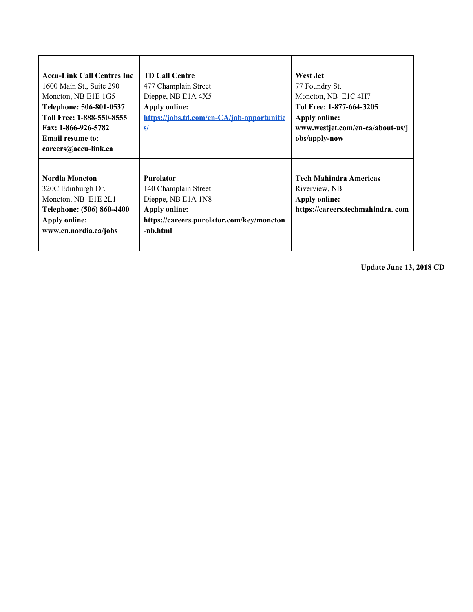| <b>Accu-Link Call Centres Inc.</b><br>1600 Main St., Suite 290<br>Moncton, NB E1E 1G5<br>Telephone: 506-801-0537<br>Toll Free: 1-888-550-8555<br>Fax: 1-866-926-5782<br><b>Email resume to:</b><br>careers@accu-link.ca | <b>TD Call Centre</b><br>477 Champlain Street<br>Dieppe, NB E1A 4X5<br><b>Apply online:</b><br>https://jobs.td.com/en-CA/job-opportunitie<br>s/ | West Jet<br>77 Foundry St.<br>Moncton, NB E1C 4H7<br>Tol Free: 1-877-664-3205<br><b>Apply online:</b><br>www.westjet.com/en-ca/about-us/j<br>obs/apply-now |
|-------------------------------------------------------------------------------------------------------------------------------------------------------------------------------------------------------------------------|-------------------------------------------------------------------------------------------------------------------------------------------------|------------------------------------------------------------------------------------------------------------------------------------------------------------|
| <b>Nordia Moncton</b><br>320C Edinburgh Dr.<br>Moncton, NB E1E 2L1<br>Telephone: (506) 860-4400<br><b>Apply online:</b><br>www.en.nordia.ca/jobs                                                                        | <b>Purolator</b><br>140 Champlain Street<br>Dieppe, NB E1A 1N8<br><b>Apply online:</b><br>https://careers.purolator.com/key/moncton<br>-nb.html | <b>Tech Mahindra Americas</b><br>Riverview, NB<br><b>Apply online:</b><br>https://careers.techmahindra.com                                                 |

**Update June 13, 2018 CD**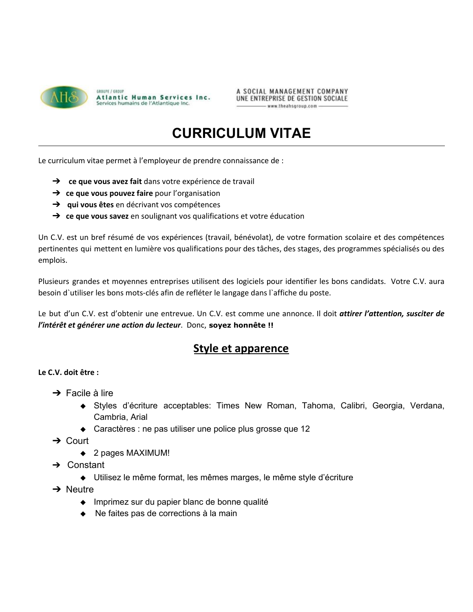

A SOCIAL MANAGEMENT COMPANY UNE ENTREPRISE DE GESTION SOCIALE www.theahsgroup.com

## **CURRICULUM VITAE**

Le curriculum vitae permet à l'employeur de prendre connaissance de :

- ➔ **ce que vous avez fait** dans votre expérience de travail
- ➔ **ce que vous pouvez faire** pour l'organisation
- ➔ **qui vous êtes** en décrivant vos compétences
- ➔ **ce que vous savez** en soulignant vos qualifications et votre éducation

Un C.V. est un bref résumé de vos expériences (travail, bénévolat), de votre formation scolaire et des compétences pertinentes qui mettent en lumière vos qualifications pour des tâches, des stages, des programmes spécialisés ou des emplois.

Plusieurs grandes et moyennes entreprises utilisent des logiciels pour identifier les bons candidats. Votre C.V. aura besoin d`utiliser les bons mots-clés afin de refléter le langage dans l`affiche du poste.

Le but d'un C.V. est d'obtenir une entrevue. Un C.V. est comme une annonce. Il doit *attirer l'attention, susciter de l'intérêt et générer une action du lecteur*. Donc, **soyez honnête !!**

## **Style et apparence**

### **Le C.V. doit être :**

- $\rightarrow$  Facile à lire
	- ◆ Styles d'écriture acceptables: Times New Roman, Tahoma, Calibri, Georgia, Verdana, Cambria, Arial
	- ◆ Caractères : ne pas utiliser une police plus grosse que 12
- ➔ Court
	- ◆ 2 pages MAXIMUM!
- ➔ Constant
	- ◆ Utilisez le même format, les mêmes marges, le même style d'écriture
- $\rightarrow$  Neutre
	- ◆ Imprimez sur du papier blanc de bonne qualité
	- ◆ Ne faites pas de corrections à la main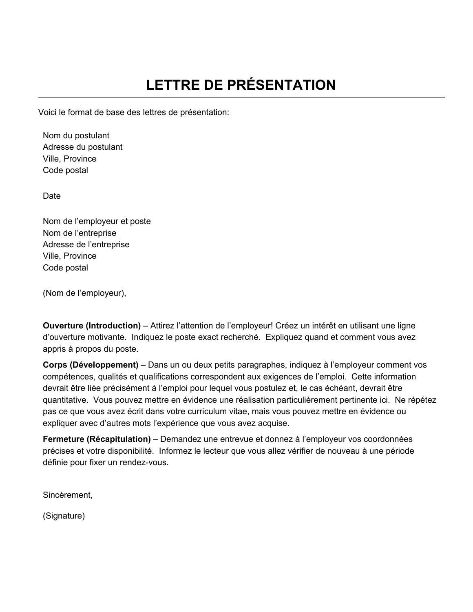Voici le format de base des lettres de présentation:

Nom du postulant Adresse du postulant Ville, Province Code postal

Date

Nom de l'employeur et poste Nom de l'entreprise Adresse de l'entreprise Ville, Province Code postal

(Nom de l'employeur),

**Ouverture (Introduction)** – Attirez l'attention de l'employeur! Créez un intérêt en utilisant une ligne d'ouverture motivante. Indiquez le poste exact recherché. Expliquez quand et comment vous avez appris à propos du poste.

**Corps (Développement)** – Dans un ou deux petits paragraphes, indiquez à l'employeur comment vos compétences, qualités et qualifications correspondent aux exigences de l'emploi. Cette information devrait être liée précisément à l'emploi pour lequel vous postulez et, le cas échéant, devrait être quantitative. Vous pouvez mettre en évidence une réalisation particulièrement pertinente ici. Ne répétez pas ce que vous avez écrit dans votre curriculum vitae, mais vous pouvez mettre en évidence ou expliquer avec d'autres mots l'expérience que vous avez acquise.

**Fermeture (Récapitulation)** – Demandez une entrevue et donnez à l'employeur vos coordonnées précises et votre disponibilité. Informez le lecteur que vous allez vérifier de nouveau à une période définie pour fixer un rendez-vous.

Sincèrement,

(Signature)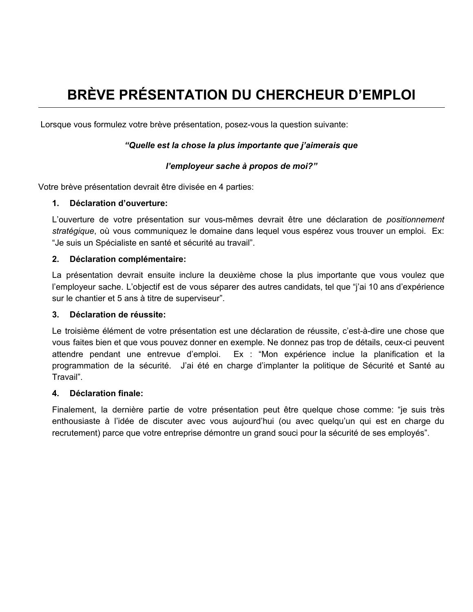## **BRÈVE PRÉSENTATION DU CHERCHEUR D'EMPLOI**

Lorsque vous formulez votre brève présentation, posez-vous la question suivante:

### *"Quelle est la chose la plus importante que j'aimerais que*

### *l'employeur sache à propos de moi?"*

Votre brève présentation devrait être divisée en 4 parties:

### **1. Déclaration d'ouverture:**

L'ouverture de votre présentation sur vous-mêmes devrait être une déclaration de *positionnement stratégique*, où vous communiquez le domaine dans lequel vous espérez vous trouver un emploi. Ex: "Je suis un Spécialiste en santé et sécurité au travail".

### **2. Déclaration complémentaire:**

La présentation devrait ensuite inclure la deuxième chose la plus importante que vous voulez que l'employeur sache. L'objectif est de vous séparer des autres candidats, tel que "j'ai 10 ans d'expérience sur le chantier et 5 ans à titre de superviseur".

### **3. Déclaration de réussite:**

Le troisième élément de votre présentation est une déclaration de réussite, c'est-à-dire une chose que vous faites bien et que vous pouvez donner en exemple. Ne donnez pas trop de détails, ceux-ci peuvent attendre pendant une entrevue d'emploi. Ex : "Mon expérience inclue la planification et la programmation de la sécurité. J'ai été en charge d'implanter la politique de Sécurité et Santé au Travail".

### **4. Déclaration finale:**

Finalement, la dernière partie de votre présentation peut être quelque chose comme: "je suis très enthousiaste à l'idée de discuter avec vous aujourd'hui (ou avec quelqu'un qui est en charge du recrutement) parce que votre entreprise démontre un grand souci pour la sécurité de ses employés".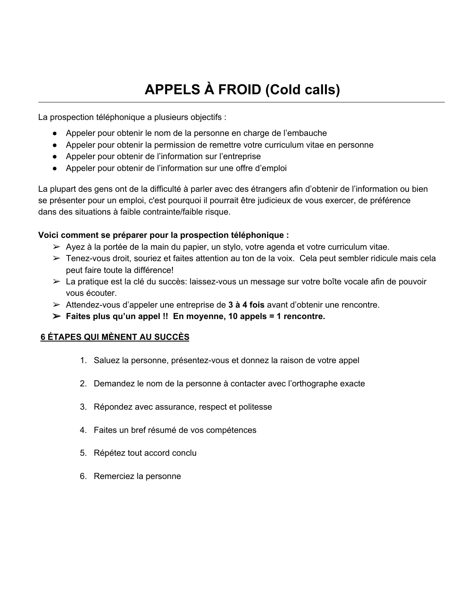# **APPELS À FROID (Cold calls)**

La prospection téléphonique a plusieurs objectifs :

- Appeler pour obtenir le nom de la personne en charge de l'embauche
- Appeler pour obtenir la permission de remettre votre curriculum vitae en personne
- Appeler pour obtenir de l'information sur l'entreprise
- Appeler pour obtenir de l'information sur une offre d'emploi

La plupart des gens ont de la difficulté à parler avec des étrangers afin d'obtenir de l'information ou bien se présenter pour un emploi, c'est pourquoi il pourrait être judicieux de vous exercer, de préférence dans des situations à faible contrainte/faible risque.

### **Voici comment se préparer pour la prospection téléphonique :**

- $\triangleright$  Ayez à la portée de la main du papier, un stylo, votre agenda et votre curriculum vitae.
- $\triangleright$  Tenez-vous droit, souriez et faites attention au ton de la voix. Cela peut sembler ridicule mais cela peut faire toute la différence!
- ➢ La pratique est la clé du succès: laissez-vous un message sur votre boîte vocale afin de pouvoir vous écouter.
- ➢ Attendez-vous d'appeler une entreprise de **3 à 4 fois** avant d'obtenir une rencontre.
- ➢ **Faites plus qu'un appel !! En moyenne, 10 appels = 1 rencontre.**

### **6 ÉTAPES QUI MÈNENT AU SUCCÈS**

- 1. Saluez la personne, présentez-vous et donnez la raison de votre appel
- 2. Demandez le nom de la personne à contacter avec l'orthographe exacte
- 3. Répondez avec assurance, respect et politesse
- 4. Faites un bref résumé de vos compétences
- 5. Répétez tout accord conclu
- 6. Remerciez la personne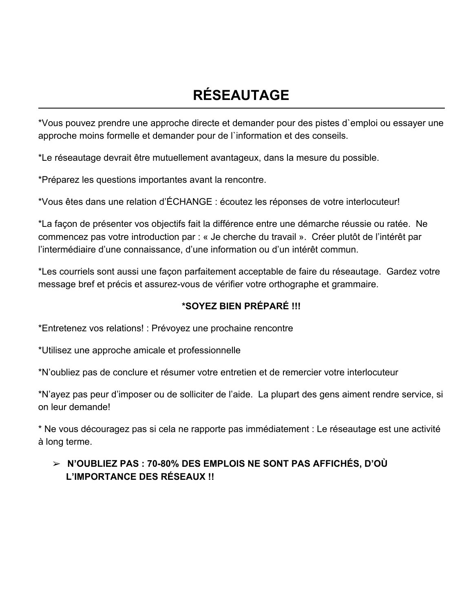# **RÉSEAUTAGE**

\*Vous pouvez prendre une approche directe et demander pour des pistes d`emploi ou essayer une approche moins formelle et demander pour de l`information et des conseils.

\*Le réseautage devrait être mutuellement avantageux, dans la mesure du possible.

\*Préparez les questions importantes avant la rencontre.

\*Vous êtes dans une relation d'ÉCHANGE : écoutez les réponses de votre interlocuteur!

\*La façon de présenter vos objectifs fait la différence entre une démarche réussie ou ratée. Ne commencez pas votre introduction par : « Je cherche du travail ». Créer plutôt de l'intérêt par l'intermédiaire d'une connaissance, d'une information ou d'un intérêt commun.

\*Les courriels sont aussi une façon parfaitement acceptable de faire du réseautage. Gardez votre message bref et précis et assurez-vous de vérifier votre orthographe et grammaire.

## **\*SOYEZ BIEN PRÉPARÉ !!!**

\*Entretenez vos relations! : Prévoyez une prochaine rencontre

\*Utilisez une approche amicale et professionnelle

\*N'oubliez pas de conclure et résumer votre entretien et de remercier votre interlocuteur

\*N'ayez pas peur d'imposer ou de solliciter de l'aide. La plupart des gens aiment rendre service, si on leur demande!

\* Ne vous découragez pas si cela ne rapporte pas immédiatement : Le réseautage est une activité à long terme.

## ➢ **N'OUBLIEZ PAS : 70-80% DES EMPLOIS NE SONT PAS AFFICHÉS, D'OÙ L'IMPORTANCE DES RÉSEAUX !!**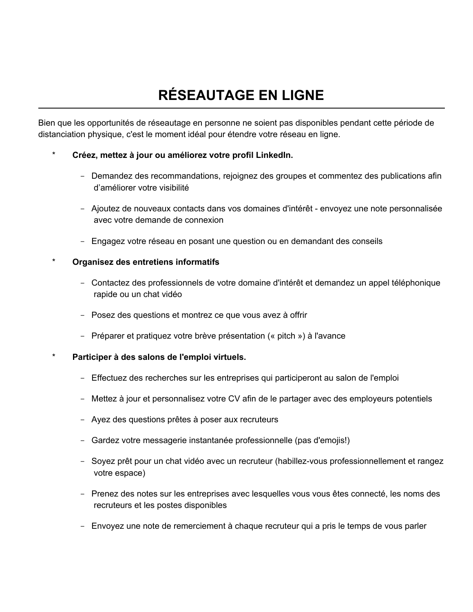# **RÉSEAUTAGE EN LIGNE**

Bien que les opportunités de réseautage en personne ne soient pas disponibles pendant cette période de distanciation physique, c'est le moment idéal pour étendre votre réseau en ligne.

## \* **Créez, mettez à jour ou améliorez votre profil LinkedIn.**

- Demandez des recommandations, rejoignez des groupes et commentez des publications afin d'améliorer votre visibilité
- Ajoutez de nouveaux contacts dans vos domaines d'intérêt envoyez une note personnalisée avec votre demande de connexion
- Engagez votre réseau en posant une question ou en demandant des conseils

### \* **Organisez des entretiens informatifs**

- Contactez des professionnels de votre domaine d'intérêt et demandez un appel téléphonique rapide ou un chat vidéo
- Posez des questions et montrez ce que vous avez à offrir
- Préparer et pratiquez votre brève présentation (« pitch ») à l'avance
- \* **Participer à des salons de l'emploi virtuels.**
	- Effectuez des recherches sur les entreprises qui participeront au salon de l'emploi
	- Mettez à jour et personnalisez votre CV afin de le partager avec des employeurs potentiels
	- Ayez des questions prêtes à poser aux recruteurs
	- Gardez votre messagerie instantanée professionnelle (pas d'emojis!)
	- Soyez prêt pour un chat vidéo avec un recruteur (habillez-vous professionnellement et rangez votre espace)
	- Prenez des notes sur les entreprises avec lesquelles vous vous êtes connecté, les noms des recruteurs et les postes disponibles
	- Envoyez une note de remerciement à chaque recruteur qui a pris le temps de vous parler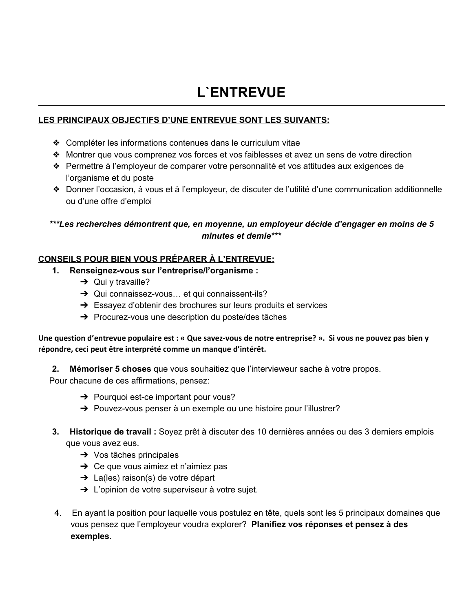## **L`ENTREVUE**

## **LES PRINCIPAUX OBJECTIFS D'UNE ENTREVUE SONT LES SUIVANTS:**

- ❖ Compléter les informations contenues dans le curriculum vitae
- ❖ Montrer que vous comprenez vos forces et vos faiblesses et avez un sens de votre direction
- ❖ Permettre à l'employeur de comparer votre personnalité et vos attitudes aux exigences de l'organisme et du poste
- ❖ Donner l'occasion, à vous et à l'employeur, de discuter de l'utilité d'une communication additionnelle ou d'une offre d'emploi

## *\*\*\*Les recherches démontrent que, en moyenne, un employeur décide d'engager en moins de 5 minutes et demie\*\*\**

## **CONSEILS POUR BIEN VOUS PRÉPARER À L'ENTREVUE:**

- **1. Renseignez-vous sur l'entreprise/l'organisme :**
	- $\rightarrow$  Qui y travaille?
	- **→** Qui connaissez-vous... et qui connaissent-ils?
	- ➔ Essayez d'obtenir des brochures sur leurs produits et services
	- ➔ Procurez-vous une description du poste/des tâches

Une question d'entrevue populaire est : « Que savez-vous de notre entreprise? ». Si vous ne pouvez pas bien y **répondre, ceci peut être interprété comme un manque d'intérêt.**

**2. Mémoriser 5 choses** que vous souhaitiez que l'intervieweur sache à votre propos.

Pour chacune de ces affirmations, pensez:

- **→** Pourquoi est-ce important pour vous?
- → Pouvez-vous penser à un exemple ou une histoire pour l'illustrer?
- **3. Historique de travail :** Soyez prêt à discuter des 10 dernières années ou des 3 derniers emplois que vous avez eus.
	- $\rightarrow$  Vos tâches principales
	- $\rightarrow$  Ce que vous aimiez et n'aimiez pas
	- ➔ La(les) raison(s) de votre départ
	- **→** L'opinion de votre superviseur à votre sujet.
- 4. En ayant la position pour laquelle vous postulez en tête, quels sont les 5 principaux domaines que vous pensez que l'employeur voudra explorer? **Planifiez vos réponses et pensez à des exemples**.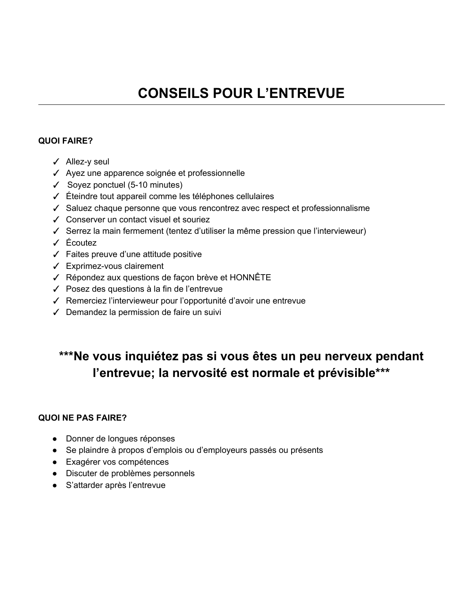### **QUOI FAIRE?**

- ✓ Allez-y seul
- ✓ Ayez une apparence soignée et professionnelle
- $\checkmark$  Soyez ponctuel (5-10 minutes)
- ✓ Éteindre tout appareil comme les téléphones cellulaires
- ✓ Saluez chaque personne que vous rencontrez avec respect et professionnalisme
- ✓ Conserver un contact visuel et souriez
- ✓ Serrez la main fermement (tentez d'utiliser la même pression que l'intervieweur)
- ✓ Écoutez
- ✓ Faites preuve d'une attitude positive
- ✓ Exprimez-vous clairement
- ✓ Répondez aux questions de façon brève et HONNÊTE
- ✓ Posez des questions à la fin de l'entrevue
- ✓ Remerciez l'intervieweur pour l'opportunité d'avoir une entrevue
- ✓ Demandez la permission de faire un suivi

## **\*\*\*Ne vous inquiétez pas si vous êtes un peu nerveux pendant l'entrevue; la nervosité est normale et prévisible\*\*\***

## **QUOI NE PAS FAIRE?**

- Donner de longues réponses
- Se plaindre à propos d'emplois ou d'employeurs passés ou présents
- Exagérer vos compétences
- Discuter de problèmes personnels
- S'attarder après l'entrevue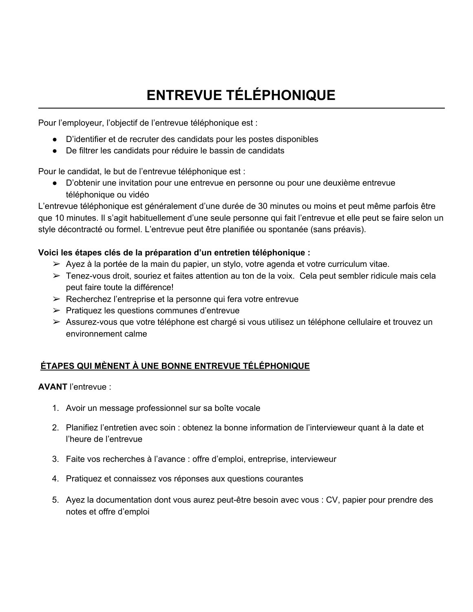# **ENTREVUE TÉLÉPHONIQUE**

Pour l'employeur, l'objectif de l'entrevue téléphonique est :

- D'identifier et de recruter des candidats pour les postes disponibles
- De filtrer les candidats pour réduire le bassin de candidats

Pour le candidat, le but de l'entrevue téléphonique est :

● D'obtenir une invitation pour une entrevue en personne ou pour une deuxième entrevue téléphonique ou vidéo

L'entrevue téléphonique est généralement d'une durée de 30 minutes ou moins et peut même parfois être que 10 minutes. Il s'agit habituellement d'une seule personne qui fait l'entrevue et elle peut se faire selon un style décontracté ou formel. L'entrevue peut être planifiée ou spontanée (sans préavis).

### **Voici les étapes clés de la préparation d'un entretien téléphonique :**

- $\triangleright$  Ayez à la portée de la main du papier, un stylo, votre agenda et votre curriculum vitae.
- ➢ Tenez-vous droit, souriez et faites attention au ton de la voix. Cela peut sembler ridicule mais cela peut faire toute la différence!
- $\triangleright$  Recherchez l'entreprise et la personne qui fera votre entrevue
- ➢ Pratiquez les questions communes d'entrevue
- ➢ Assurez-vous que votre téléphone est chargé si vous utilisez un téléphone cellulaire et trouvez un environnement calme

## **ÉTAPES QUI MÈNENT À UNE BONNE ENTREVUE TÉLÉPHONIQUE**

**AVANT** l'entrevue :

- 1. Avoir un message professionnel sur sa boîte vocale
- 2. Planifiez l'entretien avec soin : obtenez la bonne information de l'intervieweur quant à la date et l'heure de l'entrevue
- 3. Faite vos recherches à l'avance : offre d'emploi, entreprise, intervieweur
- 4. Pratiquez et connaissez vos réponses aux questions courantes
- 5. Ayez la documentation dont vous aurez peut-être besoin avec vous : CV, papier pour prendre des notes et offre d'emploi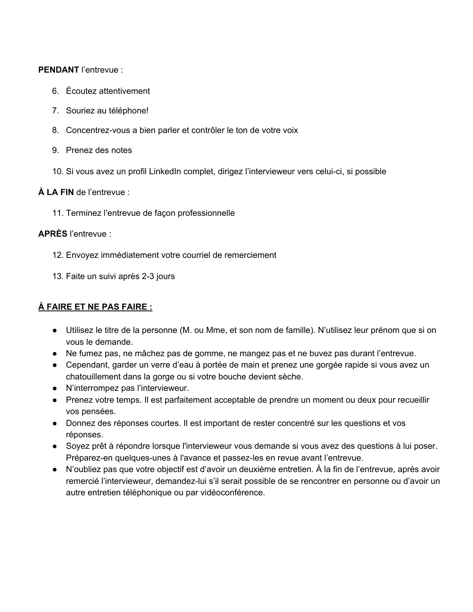### PFNDANT l'entrevue :

- 6. Écoutez attentivement
- 7. Souriez au téléphone!
- 8. Concentrez-vous a bien parler et contrôler le ton de votre voix
- 9. Prenez des notes
- 10. Si vous avez un profil LinkedIn complet, dirigez l'intervieweur vers celui-ci, si possible

## **À LA FIN** de l'entrevue :

11. Terminez l'entrevue de façon professionnelle

### **APRÈS** l'entrevue :

- 12. Envoyez immédiatement votre courriel de remerciement
- 13. Faite un suivi après 2-3 jours

## **À FAIRE ET NE PAS FAIRE :**

- Utilisez le titre de la personne (M. ou Mme, et son nom de famille). N'utilisez leur prénom que si on vous le demande.
- Ne fumez pas, ne mâchez pas de gomme, ne mangez pas et ne buvez pas durant l'entrevue.
- Cependant, garder un verre d'eau à portée de main et prenez une gorgée rapide si vous avez un chatouillement dans la gorge ou si votre bouche devient sèche.
- N'interrompez pas l'intervieweur.
- Prenez votre temps. Il est parfaitement acceptable de prendre un moment ou deux pour recueillir vos pensées.
- Donnez des réponses courtes. Il est important de rester concentré sur les questions et vos réponses.
- Soyez prêt à répondre lorsque l'intervieweur vous demande si vous avez des questions à lui poser. Préparez-en quelques-unes à l'avance et passez-les en revue avant l'entrevue.
- N'oubliez pas que votre objectif est d'avoir un deuxième entretien. À la fin de l'entrevue, après avoir remercié l'intervieweur, demandez-lui s'il serait possible de se rencontrer en personne ou d'avoir un autre entretien téléphonique ou par vidéoconférence.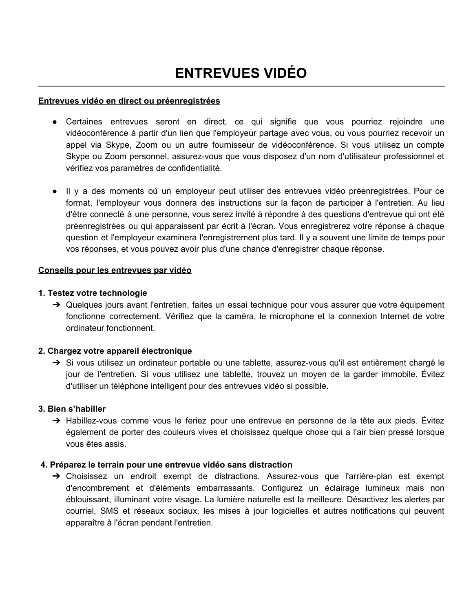# **ENTREVUES VIDÉO**

### **Entrevues vidéo en direct ou préenregistrées**

- Certaines entrevues seront en direct, ce qui signifie que vous pourriez rejoindre une vidéoconférence à partir d'un lien que l'employeur partage avec vous, ou vous pourriez recevoir un appel via Skype, Zoom ou un autre fournisseur de vidéoconférence. Si vous utilisez un compte Skype ou Zoom personnel, assurez-vous que vous disposez d'un nom d'utilisateur professionnel et vérifiez vos paramètres de confidentialité.
- Il y a des moments où un employeur peut utiliser des entrevues vidéo préenregistrées. Pour ce format, l'employeur vous donnera des instructions sur la façon de participer à l'entretien. Au lieu d'être connecté à une personne, vous serez invité à répondre à des questions d'entrevue qui ont été préenregistrées ou qui apparaissent par écrit à l'écran. Vous enregistrerez votre réponse à chaque question et l'employeur examinera l'enregistrement plus tard. Il y a souvent une limite de temps pour vos réponses, et vous pouvez avoir plus d'une chance d'enregistrer chaque réponse.

### **Conseils pour les entrevues par vidéo**

### **1. Testez votre technologie**

→ Quelques jours avant l'entretien, faites un essai technique pour vous assurer que votre équipement fonctionne correctement. Vérifiez que la caméra, le microphone et la connexion Internet de votre ordinateur fonctionnent.

### **2. Chargez votre appareil électronique**

➔ Si vous utilisez un ordinateur portable ou une tablette, assurez-vous qu'il est entièrement chargé le jour de l'entretien. Si vous utilisez une tablette, trouvez un moyen de la garder immobile. Évitez d'utiliser un téléphone intelligent pour des entrevues vidéo si possible.

### **3. Bien s'habiller**

→ Habillez-vous comme vous le feriez pour une entrevue en personne de la tête aux pieds. Évitez également de porter des couleurs vives et choisissez quelque chose qui a l'air bien pressé lorsque vous êtes assis.

### **4. Préparez le terrain pour une entrevue vidéo sans distraction**

➔ Choisissez un endroit exempt de distractions. Assurez-vous que l'arrière-plan est exempt d'encombrement et d'éléments embarrassants. Configurez un éclairage lumineux mais non éblouissant, illuminant votre visage. La lumière naturelle est la meilleure. Désactivez les alertes par courriel, SMS et réseaux sociaux, les mises à jour logicielles et autres notifications qui peuvent apparaître à l'écran pendant l'entretien.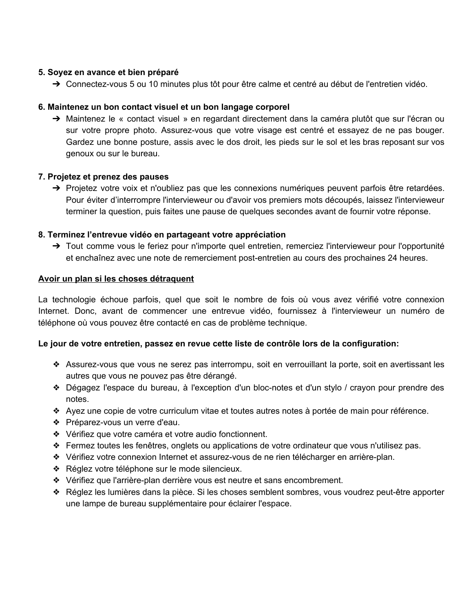### **5. Soyez en avance et bien préparé**

➔ Connectez-vous 5 ou 10 minutes plus tôt pour être calme et centré au début de l'entretien vidéo.

### **6. Maintenez un bon contact visuel et un bon langage corporel**

➔ Maintenez le « contact visuel » en regardant directement dans la caméra plutôt que sur l'écran ou sur votre propre photo. Assurez-vous que votre visage est centré et essayez de ne pas bouger. Gardez une bonne posture, assis avec le dos droit, les pieds sur le sol et les bras reposant sur vos genoux ou sur le bureau.

### **7. Projetez et prenez des pauses**

➔ Projetez votre voix et n'oubliez pas que les connexions numériques peuvent parfois être retardées. Pour éviter d'interrompre l'intervieweur ou d'avoir vos premiers mots découpés, laissez l'intervieweur terminer la question, puis faites une pause de quelques secondes avant de fournir votre réponse.

### **8. Terminez l'entrevue vidéo en partageant votre appréciation**

➔ Tout comme vous le feriez pour n'importe quel entretien, remerciez l'intervieweur pour l'opportunité et enchaînez avec une note de remerciement post-entretien au cours des prochaines 24 heures.

### **Avoir un plan si les choses détraquent**

La technologie échoue parfois, quel que soit le nombre de fois où vous avez vérifié votre connexion Internet. Donc, avant de commencer une entrevue vidéo, fournissez à l'intervieweur un numéro de téléphone où vous pouvez être contacté en cas de problème technique.

### **Le jour de votre entretien, passez en revue cette liste de contrôle lors de la configuration:**

- ❖ Assurez-vous que vous ne serez pas interrompu, soit en verrouillant la porte, soit en avertissant les autres que vous ne pouvez pas être dérangé.
- ❖ Dégagez l'espace du bureau, à l'exception d'un bloc-notes et d'un stylo / crayon pour prendre des notes.
- ❖ Ayez une copie de votre curriculum vitae et toutes autres notes à portée de main pour référence.
- ❖ Préparez-vous un verre d'eau.
- ❖ Vérifiez que votre caméra et votre audio fonctionnent.
- ❖ Fermez toutes les fenêtres, onglets ou applications de votre ordinateur que vous n'utilisez pas.
- ❖ Vérifiez votre connexion Internet et assurez-vous de ne rien télécharger en arrière-plan.
- ❖ Réglez votre téléphone sur le mode silencieux.
- ❖ Vérifiez que l'arrière-plan derrière vous est neutre et sans encombrement.
- ❖ Réglez les lumières dans la pièce. Si les choses semblent sombres, vous voudrez peut-être apporter une lampe de bureau supplémentaire pour éclairer l'espace.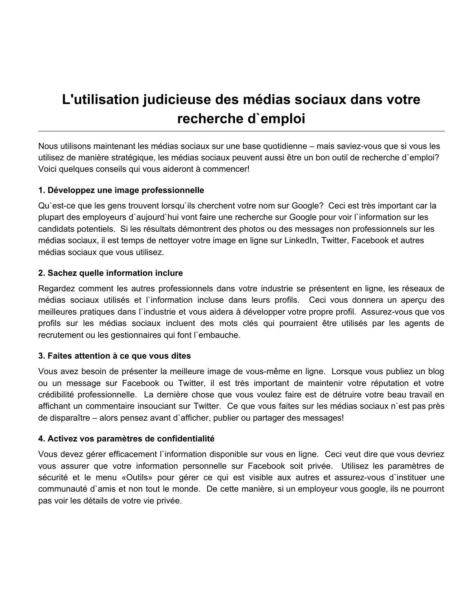## **L'utilisation judicieuse des médias sociaux dans votre recherche d`emploi**

Nous utilisons maintenant les médias sociaux sur une base quotidienne – mais saviez-vous que si vous les utilisez de manière stratégique, les médias sociaux peuvent aussi être un bon outil de recherche d`emploi? Voici quelques conseils qui vous aideront à commencer!

## **1. Développez une image professionnelle**

Qu`est-ce que les gens trouvent lorsqu`ils cherchent votre nom sur Google? Ceci est très important car la plupart des employeurs d`aujourd`hui vont faire une recherche sur Google pour voir l`information sur les candidats potentiels. Si les résultats démontrent des photos ou des messages non professionnels sur les médias sociaux, il est temps de nettoyer votre image en ligne sur LinkedIn, Twitter, Facebook et autres médias sociaux que vous utilisez.

### **2. Sachez quelle information inclure**

Regardez comment les autres professionnels dans votre industrie se présentent en ligne, les réseaux de médias sociaux utilisés et l`information incluse dans leurs profils. Ceci vous donnera un aperçu des meilleures pratiques dans l`industrie et vous aidera à développer votre propre profil. Assurez-vous que vos profils sur les médias sociaux incluent des mots clés qui pourraient être utilisés par les agents de recrutement ou les gestionnaires qui font l`embauche.

## **3. Faites attention à ce que vous dites**

Vous avez besoin de présenter la meilleure image de vous-même en ligne. Lorsque vous publiez un blog ou un message sur Facebook ou Twitter, il est très important de maintenir votre réputation et votre crédibilité professionnelle. La dernière chose que vous voulez faire est de détruire votre beau travail en affichant un commentaire insouciant sur Twitter. Ce que vous faites sur les médias sociaux n`est pas près de disparaître – alors pensez avant d`afficher, publier ou partager des messages!

### **4. Activez vos paramètres de confidentialité**

Vous devez gérer efficacement l`information disponible sur vous en ligne. Ceci veut dire que vous devriez vous assurer que votre information personnelle sur Facebook soit privée. Utilisez les paramètres de sécurité et le menu «Outils» pour gérer ce qui est visible aux autres et assurez-vous d`instituer une communauté d`amis et non tout le monde. De cette manière, si un employeur vous google, ils ne pourront pas voir les détails de votre vie privée.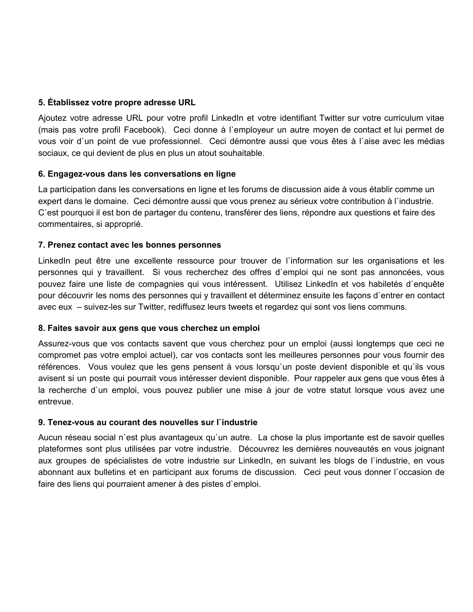### **5. Établissez votre propre adresse URL**

Ajoutez votre adresse URL pour votre profil LinkedIn et votre identifiant Twitter sur votre curriculum vitae (mais pas votre profil Facebook). Ceci donne à l`employeur un autre moyen de contact et lui permet de vous voir d`un point de vue professionnel. Ceci démontre aussi que vous êtes à l`aise avec les médias sociaux, ce qui devient de plus en plus un atout souhaitable.

### **6. Engagez-vous dans les conversations en ligne**

La participation dans les conversations en ligne et les forums de discussion aide à vous établir comme un expert dans le domaine. Ceci démontre aussi que vous prenez au sérieux votre contribution à l`industrie. C`est pourquoi il est bon de partager du contenu, transférer des liens, répondre aux questions et faire des commentaires, si approprié.

### **7. Prenez contact avec les bonnes personnes**

LinkedIn peut être une excellente ressource pour trouver de l`information sur les organisations et les personnes qui y travaillent. Si vous recherchez des offres d`emploi qui ne sont pas annoncées, vous pouvez faire une liste de compagnies qui vous intéressent. Utilisez LinkedIn et vos habiletés d`enquête pour découvrir les noms des personnes qui y travaillent et déterminez ensuite les façons d`entrer en contact avec eux – suivez-les sur Twitter, rediffusez leurs tweets et regardez qui sont vos liens communs.

### **8. Faites savoir aux gens que vous cherchez un emploi**

Assurez-vous que vos contacts savent que vous cherchez pour un emploi (aussi longtemps que ceci ne compromet pas votre emploi actuel), car vos contacts sont les meilleures personnes pour vous fournir des références. Vous voulez que les gens pensent à vous lorsqu`un poste devient disponible et qu`ils vous avisent si un poste qui pourrait vous intéresser devient disponible. Pour rappeler aux gens que vous êtes à la recherche d`un emploi, vous pouvez publier une mise à jour de votre statut lorsque vous avez une entrevue.

## **9. Tenez-vous au courant des nouvelles sur l`industrie**

Aucun réseau social n`est plus avantageux qu`un autre. La chose la plus importante est de savoir quelles plateformes sont plus utilisées par votre industrie. Découvrez les dernières nouveautés en vous joignant aux groupes de spécialistes de votre industrie sur LinkedIn, en suivant les blogs de l`industrie, en vous abonnant aux bulletins et en participant aux forums de discussion. Ceci peut vous donner l`occasion de faire des liens qui pourraient amener à des pistes d`emploi.